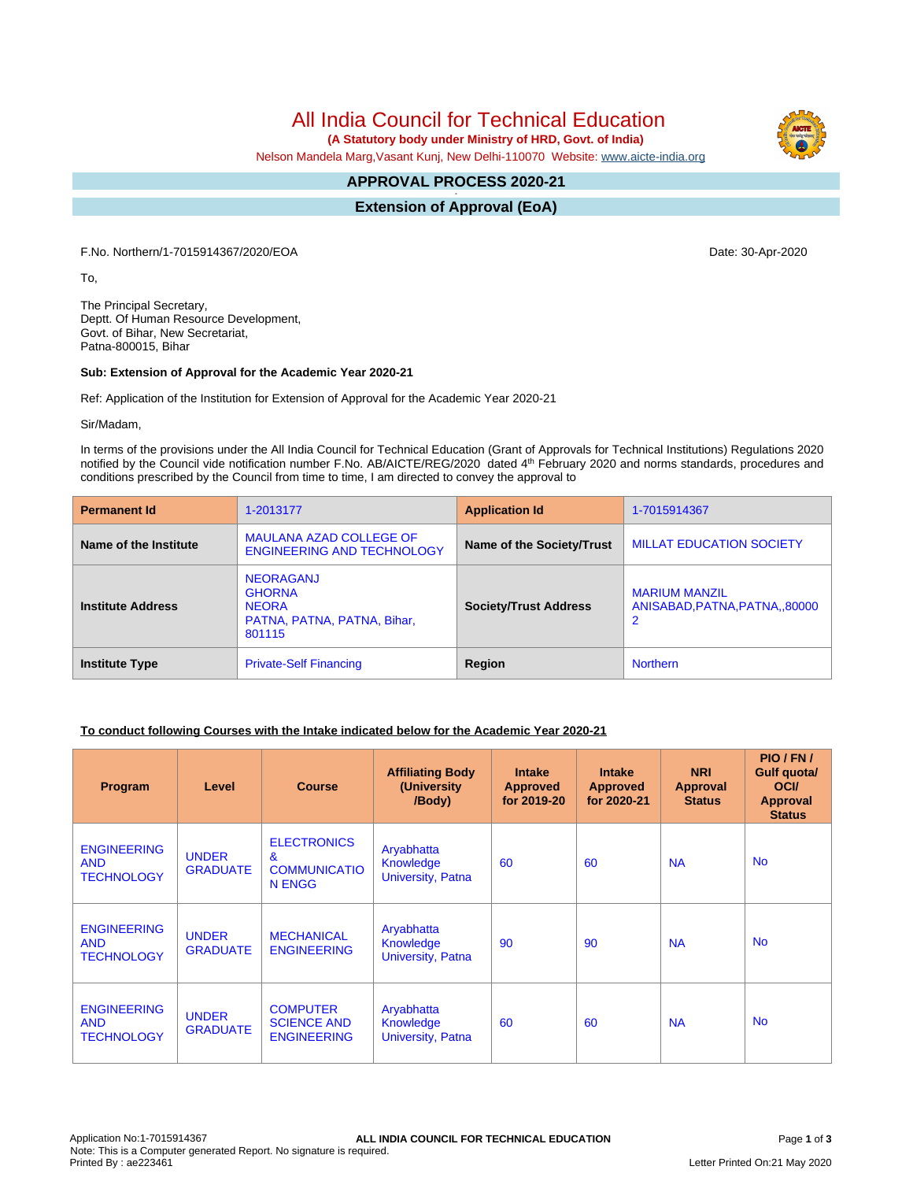All India Council for Technical Education

 **(A Statutory body under Ministry of HRD, Govt. of India)**

Nelson Mandela Marg,Vasant Kunj, New Delhi-110070 Website: [www.aicte-india.org](http://www.aicte-india.org)

#### **APPROVAL PROCESS 2020-21 -**

**Extension of Approval (EoA)**

F.No. Northern/1-7015914367/2020/EOA Date: 30-Apr-2020

To,

The Principal Secretary, Deptt. Of Human Resource Development, Govt. of Bihar, New Secretariat, Patna-800015, Bihar

#### **Sub: Extension of Approval for the Academic Year 2020-21**

Ref: Application of the Institution for Extension of Approval for the Academic Year 2020-21

Sir/Madam,

In terms of the provisions under the All India Council for Technical Education (Grant of Approvals for Technical Institutions) Regulations 2020 notified by the Council vide notification number F.No. AB/AICTE/REG/2020 dated 4<sup>th</sup> February 2020 and norms standards, procedures and conditions prescribed by the Council from time to time, I am directed to convey the approval to

| <b>Permanent Id</b>      | 1-2013177                                                                                  | <b>Application Id</b>        | 1-7015914367                                                        |  |  |
|--------------------------|--------------------------------------------------------------------------------------------|------------------------------|---------------------------------------------------------------------|--|--|
| Name of the Institute    | <b>MAULANA AZAD COLLEGE OF</b><br><b>ENGINEERING AND TECHNOLOGY</b>                        | Name of the Society/Trust    | <b>MILLAT EDUCATION SOCIETY</b>                                     |  |  |
| <b>Institute Address</b> | <b>NEORAGANJ</b><br><b>GHORNA</b><br><b>NEORA</b><br>PATNA, PATNA, PATNA, Bihar,<br>801115 | <b>Society/Trust Address</b> | <b>MARIUM MANZIL</b><br>ANISABAD.PATNA.PATNA80000<br>$\overline{2}$ |  |  |
| <b>Institute Type</b>    | <b>Private-Self Financing</b>                                                              | Region                       | <b>Northern</b>                                                     |  |  |

## **To conduct following Courses with the Intake indicated below for the Academic Year 2020-21**

| <b>Program</b>                                        | Level                           | <b>Course</b>                                                              | <b>Affiliating Body</b><br>(University)<br>/Body)          | <b>Intake</b><br><b>Approved</b><br>for 2019-20 | <b>Intake</b><br><b>Approved</b><br>for 2020-21 | <b>NRI</b><br>Approval<br><b>Status</b> | PIO/FN/<br>Gulf quota/<br><b>OCI</b><br><b>Approval</b><br><b>Status</b> |
|-------------------------------------------------------|---------------------------------|----------------------------------------------------------------------------|------------------------------------------------------------|-------------------------------------------------|-------------------------------------------------|-----------------------------------------|--------------------------------------------------------------------------|
| <b>ENGINEERING</b><br><b>AND</b><br><b>TECHNOLOGY</b> | <b>UNDER</b><br><b>GRADUATE</b> | <b>ELECTRONICS</b><br>$\mathbf{g}$<br><b>COMMUNICATIO</b><br><b>N ENGG</b> | Aryabhatta<br><b>Knowledge</b><br><b>University, Patna</b> | 60                                              | 60                                              | <b>NA</b>                               | <b>No</b>                                                                |
| <b>ENGINEERING</b><br><b>AND</b><br><b>TECHNOLOGY</b> | <b>UNDER</b><br><b>GRADUATE</b> | <b>MECHANICAL</b><br><b>ENGINEERING</b>                                    | Aryabhatta<br><b>Knowledge</b><br>University, Patna        | 90                                              | 90                                              | <b>NA</b>                               | <b>No</b>                                                                |
| <b>ENGINEERING</b><br><b>AND</b><br><b>TECHNOLOGY</b> | <b>UNDER</b><br><b>GRADUATE</b> | <b>COMPUTER</b><br><b>SCIENCE AND</b><br><b>ENGINEERING</b>                | Aryabhatta<br><b>Knowledge</b><br>University, Patna        | 60                                              | 60                                              | <b>NA</b>                               | <b>No</b>                                                                |

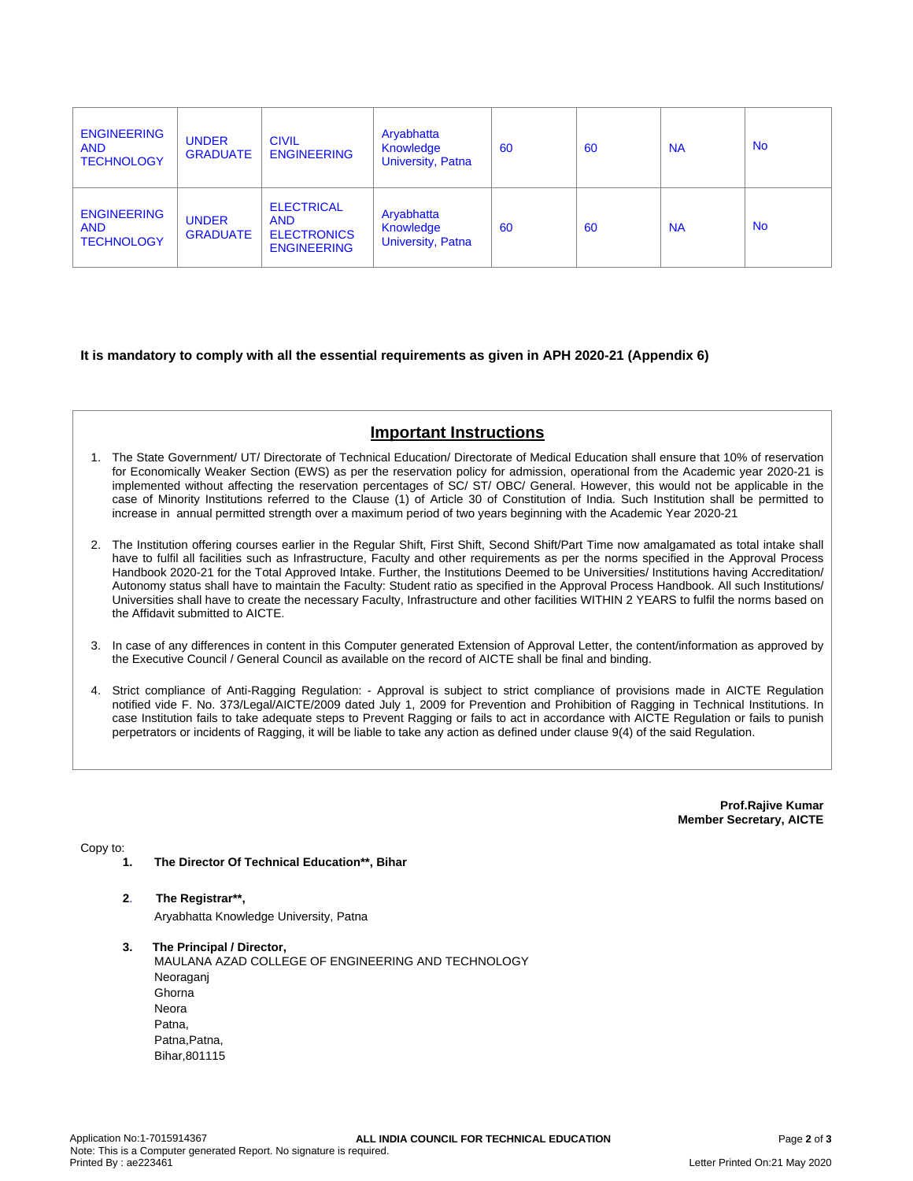| <b>ENGINEERING</b><br><b>AND</b><br><b>TECHNOLOGY</b> | <b>UNDER</b><br><b>GRADUATE</b> | <b>CIVIL</b><br><b>ENGINEERING</b>                                          | Aryabhatta<br>Knowledge<br><b>University, Patna</b> | 60 | 60 | <b>NA</b> | <b>No</b> |
|-------------------------------------------------------|---------------------------------|-----------------------------------------------------------------------------|-----------------------------------------------------|----|----|-----------|-----------|
| <b>ENGINEERING</b><br><b>AND</b><br><b>TECHNOLOGY</b> | <b>UNDER</b><br><b>GRADUATE</b> | <b>ELECTRICAL</b><br><b>AND</b><br><b>ELECTRONICS</b><br><b>ENGINEERING</b> | Aryabhatta<br>Knowledge<br>University, Patna        | 60 | 60 | <b>NA</b> | <b>No</b> |

## **It is mandatory to comply with all the essential requirements as given in APH 2020-21 (Appendix 6)**

# **Important Instructions**

- 1. The State Government/ UT/ Directorate of Technical Education/ Directorate of Medical Education shall ensure that 10% of reservation for Economically Weaker Section (EWS) as per the reservation policy for admission, operational from the Academic year 2020-21 is implemented without affecting the reservation percentages of SC/ ST/ OBC/ General. However, this would not be applicable in the case of Minority Institutions referred to the Clause (1) of Article 30 of Constitution of India. Such Institution shall be permitted to increase in annual permitted strength over a maximum period of two years beginning with the Academic Year 2020-21
- 2. The Institution offering courses earlier in the Regular Shift, First Shift, Second Shift/Part Time now amalgamated as total intake shall have to fulfil all facilities such as Infrastructure, Faculty and other requirements as per the norms specified in the Approval Process Handbook 2020-21 for the Total Approved Intake. Further, the Institutions Deemed to be Universities/ Institutions having Accreditation/ Autonomy status shall have to maintain the Faculty: Student ratio as specified in the Approval Process Handbook. All such Institutions/ Universities shall have to create the necessary Faculty, Infrastructure and other facilities WITHIN 2 YEARS to fulfil the norms based on the Affidavit submitted to AICTE.
- 3. In case of any differences in content in this Computer generated Extension of Approval Letter, the content/information as approved by the Executive Council / General Council as available on the record of AICTE shall be final and binding.
- 4. Strict compliance of Anti-Ragging Regulation: Approval is subject to strict compliance of provisions made in AICTE Regulation notified vide F. No. 373/Legal/AICTE/2009 dated July 1, 2009 for Prevention and Prohibition of Ragging in Technical Institutions. In case Institution fails to take adequate steps to Prevent Ragging or fails to act in accordance with AICTE Regulation or fails to punish perpetrators or incidents of Ragging, it will be liable to take any action as defined under clause 9(4) of the said Regulation.

**Prof.Rajive Kumar Member Secretary, AICTE**

Copy to:

- **1. The Director Of Technical Education\*\*, Bihar**
- **2**. **The Registrar\*\*,** Aryabhatta Knowledge University, Patna
- **3. The Principal / Director,** MAULANA AZAD COLLEGE OF ENGINEERING AND TECHNOLOGY Neoraganj **Ghorna** Neora Patna, Patna, Patna, Bihar,801115